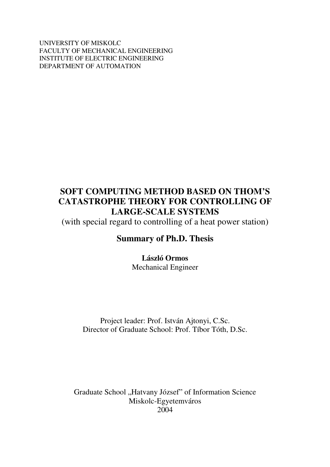UNIVERSITY OF MISKOLC FACULTY OF MECHANICAL ENGINEERING INSTITUTE OF ELECTRIC ENGINEERING DEPARTMENT OF AUTOMATION

# **SOFT COMPUTING METHOD BASED ON THOM'S CATASTROPHE THEORY FOR CONTROLLING OF LARGE-SCALE SYSTEMS**

(with special regard to controlling of a heat power station)

# **Summary of Ph.D. Thesis**

# **László Ormos**

Mechanical Engineer

Project leader: Prof. István Ajtonyi, C.Sc. Director of Graduate School: Prof. Tíbor Tóth, D.Sc.

Graduate School "Hatvany József" of Information Science Miskolc-Egyetemváros 2004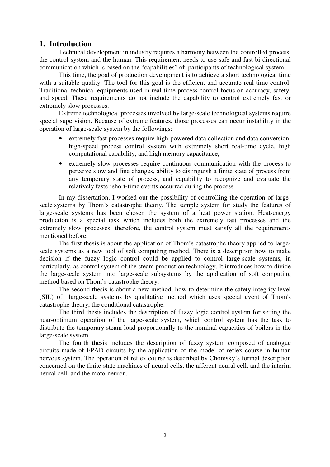### **1. Introduction**

Technical development in industry requires a harmony between the controlled process, the control system and the human. This requirement needs to use safe and fast bi-directional communication which is based on the "capabilities" of participants of technological system.

This time, the goal of production development is to achieve a short technological time with a suitable quality. The tool for this goal is the efficient and accurate real-time control. Traditional technical equipments used in real-time process control focus on accuracy, safety, and speed. These requirements do not include the capability to control extremely fast or extremely slow processes.

Extreme technological processes involved by large-scale technological systems require special supervision. Because of extreme features, those processes can occur instability in the operation of large-scale system by the followings:

- extremely fast processes require high-powered data collection and data conversion, high-speed process control system with extremely short real-time cycle, high computational capability, and high memory capacitance,
- extremely slow processes require continuous communication with the process to perceive slow and fine changes, ability to distinguish a finite state of process from any temporary state of process, and capability to recognize and evaluate the relatively faster short-time events occurred during the process.

In my dissertation, I worked out the possibility of controlling the operation of largescale systems by Thom's catastrophe theory. The sample system for study the features of large-scale systems has been chosen the system of a heat power station. Heat-energy production is a special task which includes both the extremely fast processes and the extremely slow processes, therefore, the control system must satisfy all the requirements mentioned before.

The first thesis is about the application of Thom's catastrophe theory applied to largescale systems as a new tool of soft computing method. There is a description how to make decision if the fuzzy logic control could be applied to control large-scale systems, in particularly, as control system of the steam production technology. It introduces how to divide the large-scale system into large-scale subsystems by the application of soft computing method based on Thom's catastrophe theory.

The second thesis is about a new method, how to determine the safety integrity level (SIL) of large-scale systems by qualitative method which uses special event of Thom's catastrophe theory, the conditional catastrophe.

The third thesis includes the description of fuzzy logic control system for setting the near-optimum operation of the large-scale system, which control system has the task to distribute the temporary steam load proportionally to the nominal capacities of boilers in the large-scale system.

The fourth thesis includes the description of fuzzy system composed of analogue circuits made of FPAD circuits by the application of the model of reflex course in human nervous system. The operation of reflex course is described by Chomsky's formal description concerned on the finite-state machines of neural cells, the afferent neural cell, and the interim neural cell, and the moto-neuron.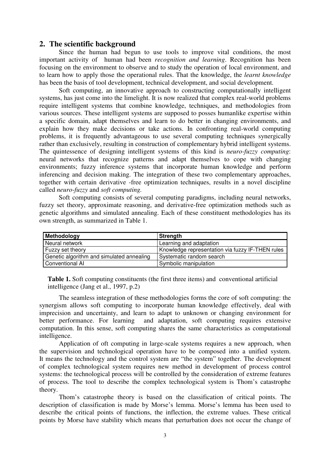### **2. The scientific background**

Since the human had begun to use tools to improve vital conditions, the most important activity of human had been *recognition and learning*. Recognition has been focusing on the environment to observe and to study the operation of local environment, and to learn how to apply those the operational rules. That the knowledge, the *learnt knowledge* has been the basis of tool development, technical development, and social development.

Soft computing, an innovative approach to constructing computationally intelligent systems, has just come into the limelight. It is now realized that complex real-world problems require intelligent systems that combine knowledge, techniques, and methodologies from various sources. These intelligent systems are supposed to posses humanlike expertise within a specific domain, adapt themselves and learn to do better in changing environments, and explain how they make decisions or take actions. In confronting real-world computing problems, it is frequently advantageous to use several computing techniques synergically rather than exclusively, resulting in construction of complementary hybrid intelligent systems. The quintessence of designing intelligent systems of this kind is *neuro-fuzzy computing*: neural networks that recognize patterns and adapt themselves to cope with changing environments; fuzzy inference systems that incorporate human knowledge and perform inferencing and decision making. The integration of these two complementary approaches, together with certain derivative -free optimization techniques, results in a novel discipline called *neuro-fuzzy* and *soft computing.*

Soft computing consists of several computing paradigms, including neural networks, fuzzy set theory, approximate reasoning, and derivative-free optimization methods such as genetic algorithms and simulated annealing. Each of these constituent methodologies has its own strength, as summarized in Table 1.

| Methodology                               | Strength                                         |
|-------------------------------------------|--------------------------------------------------|
| Neural network                            | Learning and adaptation                          |
| Fuzzy set theory                          | Knowledge representation via fuzzy IF-THEN rules |
| Genetic algorithm and simulated annealing | Systematic random search                         |
| Conventional AI                           | Symbolic manipulation                            |

**Table 1.** Soft computing constituents (the first three items) and conventional artificial intelligence (Jang et al., 1997, p.2)

The seamless integration of these methodologies forms the core of soft computing: the synergism allows soft computing to incorporate human knowledge effectively, deal with imprecision and uncertainty, and learn to adapt to unknown or changing environment for better performance. For learning and adaptation, soft computing requires extensive computation. In this sense, soft computing shares the same characteristics as computational intelligence.

Application of oft computing in large-scale systems requires a new approach, when the supervision and technological operation have to be composed into a unified system. It means the technology and the control system are "the system" together. The development of complex technological system requires new method in development of process control systems: the technological process will be controlled by the consideration of extreme features of process. The tool to describe the complex technological system is Thom's catastrophe theory.

Thom's catastrophe theory is based on the classification of critical points. The description of classification is made by Morse's lemma. Morse's lemma has been used to describe the critical points of functions, the inflection, the extreme values. These critical points by Morse have stability which means that perturbation does not occur the change of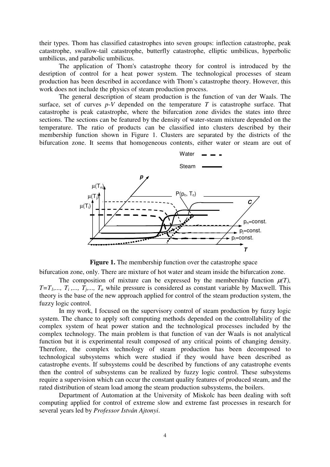their types. Thom has classified catastrophes into seven groups: inflection catastrophe, peak catastrophe, swallow-tail catastrophe, butterfly catastrophe, elliptic umbilicus, hyperbolic umbilicus, and parabolic umbilicus.

The application of Thom's catastrophe theory for control is introduced by the desription of control for a heat power system. The technological processes of steam production has been described in accordance with Thom's catastrophe theory. However, this work does not include the physics of steam production process.

The general description of steam production is the function of van der Waals. The surface, set of curves *p-V* depended on the temperature *T* is catastrophe surface. That catastrophe is peak catastrophe, where the bifurcation zone divides the states into three sections. The sections can be featured by the density of water-steam mixture depended on the temperature. The ratio of products can be classified into clusters described by their membership function shown in Figure 1. Clusters are separated by the districts of the bifurcation zone. It seems that homogeneous contents, either water or steam are out of



**Figure 1.** The membership function over the catastrophe space

bifurcation zone, only. There are mixture of hot water and steam inside the bifurcation zone.

The composition of mixture can be expressed by the membership function  $\mu(T)$ , *T*=*T*<sub>1</sub>,..., *T*<sub>i</sub>,..., *T*<sub>j</sub>,..., *T*<sub>n</sub> while pressure is considered as constant variable by Maxwell. This theory is the base of the new approach applied for control of the steam production system, the fuzzy logic control.

In my work, I focused on the supervisory control of steam production by fuzzy logic system. The chance to apply soft computing methods depended on the controllability of the complex system of heat power station and the technological processes included by the complex technology. The main problem is that function of van der Waals is not analytical function but it is experimental result composed of any critical points of changing density. Therefore, the complex technology of steam production has been decomposed to technological subsystems which were studied if they would have been described as catastrophe events. If subsystems could be described by functions of any catastrophe events then the control of subsystems can be realized by fuzzy logic control. These subsystems require a supervision which can occur the constant quality features of produced steam, and the rated distribution of steam load among the steam production subsystems, the boilers.

Department of Automation at the University of Miskolc has been dealing with soft computing applied for control of extreme slow and extreme fast processes in research for several years led by *Professor István Ajtonyi*.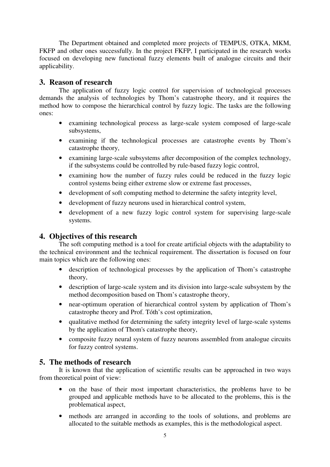The Department obtained and completed more projects of TEMPUS, OTKA, MKM, FKFP and other ones successfully. In the project FKFP, I participated in the research works focused on developing new functional fuzzy elements built of analogue circuits and their applicability.

## **3. Reason of research**

The application of fuzzy logic control for supervision of technological processes demands the analysis of technologies by Thom's catastrophe theory, and it requires the method how to compose the hierarchical control by fuzzy logic. The tasks are the following ones:

- examining technological process as large-scale system composed of large-scale subsystems,
- examining if the technological processes are catastrophe events by Thom's catastrophe theory,
- examining large-scale subsystems after decomposition of the complex technology, if the subsystems could be controlled by rule-based fuzzy logic control,
- examining how the number of fuzzy rules could be reduced in the fuzzy logic control systems being either extreme slow or extreme fast processes,
- development of soft computing method to determine the safety integrity level.
- development of fuzzy neurons used in hierarchical control system,
- development of a new fuzzy logic control system for supervising large-scale systems.

## **4. Objectives of this research**

The soft computing method is a tool for create artificial objects with the adaptability to the technical environment and the technical requirement. The dissertation is focused on four main topics which are the following ones:

- description of technological processes by the application of Thom's catastrophe theory,
- description of large-scale system and its division into large-scale subsystem by the method decomposition based on Thom's catastrophe theory,
- near-optimum operation of hierarchical control system by application of Thom's catastrophe theory and Prof. Tóth's cost optimization,
- qualitative method for determining the safety integrity level of large-scale systems by the application of Thom's catastrophe theory,
- composite fuzzy neural system of fuzzy neurons assembled from analogue circuits for fuzzy control systems.

## **5. The methods of research**

It is known that the application of scientific results can be approached in two ways from theoretical point of view:

- on the base of their most important characteristics, the problems have to be grouped and applicable methods have to be allocated to the problems, this is the problematical aspect,
- methods are arranged in according to the tools of solutions, and problems are allocated to the suitable methods as examples, this is the methodological aspect.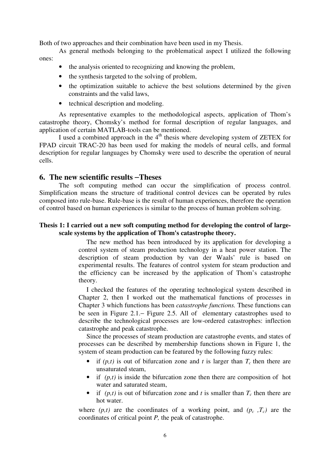Both of two approaches and their combination have been used in my Thesis.

As general methods belonging to the problematical aspect I utilized the following ones:

- the analysis oriented to recognizing and knowing the problem.
- the synthesis targeted to the solving of problem,
- the optimization suitable to achieve the best solutions determined by the given constraints and the valid laws,
- technical description and modeling.

As representative examples to the methodological aspects, application of Thom's catastrophe theory, Chomsky's method for formal description of regular languages, and application of certain MATLAB-tools can be mentioned.

I used a combined approach in the 4<sup>th</sup> thesis where developing system of ZETEX for FPAD circuit TRAC-20 has been used for making the models of neural cells, and formal description for regular languages by Chomsky were used to describe the operation of neural cells.

### **6. The new scientific results** −**Theses**

The soft computing method can occur the simplification of process control. Simplification means the structure of traditional control devices can be operated by rules composed into rule-base. Rule-base is the result of human experiences, therefore the operation of control based on human experiences is similar to the process of human problem solving.

#### **Thesis 1: I carried out a new soft computing method for developing the control of largescale systems by the application of Thom's catastrophe theory.**

The new method has been introduced by its application for developing a control system of steam production technology in a heat power station. The description of steam production by van der Waals' rule is based on experimental results. The features of control system for steam production and the efficiency can be increased by the application of Thom's catastrophe theory.

I checked the features of the operating technological system described in Chapter 2, then I worked out the mathematical functions of processes in Chapter 3 which functions has been *catastrophe functions.* These functions can be seen in Figure 2.1.− Figure 2.5. All of elementary catastrophes used to describe the technological processes are low-ordered catastrophes: inflection catastrophe and peak catastrophe.

Since the processes of steam production are catastrophe events, and states of processes can be described by membership functions shown in Figure 1, the system of steam production can be featured by the following fuzzy rules:

- if  $(p,t)$  is out of bifurcation zone and *t* is larger than  $T_c$  then there are unsaturated steam,
- if  $(p,t)$  is inside the bifurcation zone then there are composition of hot water and saturated steam,
- if  $(p,t)$  is out of bifurcation zone and *t* is smaller than  $T_c$  then there are hot water.

where  $(p,t)$  are the coordinates of a working point, and  $(p_c, T_c)$  are the coordinates of critical point *P,* the peak of catastrophe.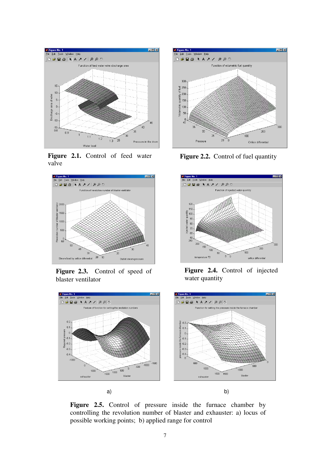

**Figure 2.1.** Control of feed water valve



**Figure 2.3.** Control of speed of blaster ventilator



**Figure 2.2.** Control of fuel quantity



**Figure 2.4.** Control of injected water quantity



**Figure 2.5.** Control of pressure inside the furnace chamber by controlling the revolution number of blaster and exhauster: a) locus of possible working points; b) applied range for control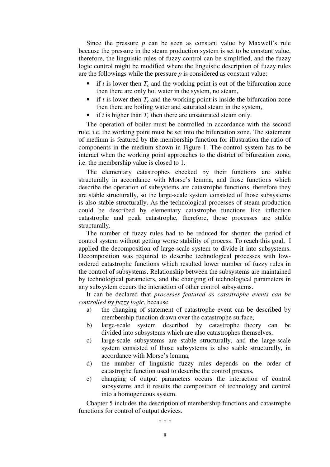Since the pressure *p* can be seen as constant value by Maxwell's rule because the pressure in the steam production system is set to be constant value, therefore, the linguistic rules of fuzzy control can be simplified, and the fuzzy logic control might be modified where the linguistic description of fuzzy rules are the followings while the pressure *p* is considered as constant value:

- if  $t$  is lower then  $T_c$  and the working point is out of the bifurcation zone then there are only hot water in the system, no steam,
- if *t* is lower then  $T_c$  and the working point is inside the bifurcation zone then there are boiling water and saturated steam in the system,
- if  $t$  is higher than  $T_c$  then there are unsaturated steam only.

The operation of boiler must be controlled in accordance with the second rule, i.e. the working point must be set into the bifurcation zone. The statement of medium is featured by the membership function for illustration the ratio of components in the medium shown in Figure 1. The control system has to be interact when the working point approaches to the district of bifurcation zone, i.e. the membership value is closed to 1.

The elementary catastrophes checked by their functions are stable structurally in accordance with Morse's lemma, and those functions which describe the operation of subsystems are catastrophe functions, therefore they are stable structurally, so the large-scale system consisted of those subsystems is also stable structurally. As the technological processes of steam production could be described by elementary catastrophe functions like inflection catastrophe and peak catastrophe, therefore, those processes are stable structurally.

The number of fuzzy rules had to be reduced for shorten the period of control system without getting worse stability of process. To reach this goal, I applied the decomposition of large-scale system to divide it into subsystems. Decomposition was required to describe technological processes with lowordered catastrophe functions which resulted lower number of fuzzy rules in the control of subsystems. Relationship between the subsystems are maintained by technological parameters, and the changing of technological parameters in any subsystem occurs the interaction of other control subsystems.

It can be declared that *processes featured as catastrophe events can be controlled by fuzzy logic*, because

- a) the changing of statement of catastrophe event can be described by membership function drawn over the catastrophe surface,
- b) large-scale system described by catastrophe theory can be divided into subsystems which are also catastrophes themselves,
- c) large-scale subsystems are stable structurally, and the large-scale system consisted of those subsystems is also stable structurally, in accordance with Morse's lemma,
- d) the number of linguistic fuzzy rules depends on the order of catastrophe function used to describe the control process,
- e) changing of output parameters occurs the interaction of control subsystems and it results the composition of technology and control into a homogeneous system.

Chapter 5 includes the description of membership functions and catastrophe functions for control of output devices.

∗ ∗ ∗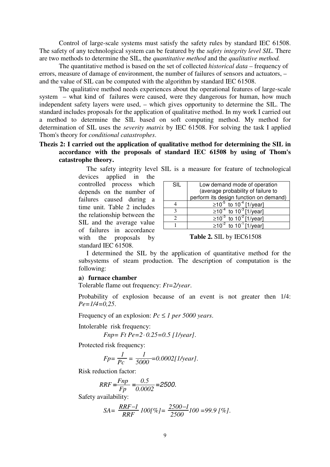Control of large-scale systems must satisfy the safety rules by standard IEC 61508. The safety of any technological system can be featured by the *safety integrity level SIL*. There are two methods to determine the SIL, the *quantitative method* and the *qualitative method.*

The quantitative method is based on the set of collected *historical data* – frequency of errors, measure of damage of environment, the number of failures of sensors and actuators, – and the value of SIL can be computed with the algorithm by standard IEC 61508.

The qualitative method needs experiences about the operational features of large-scale system – what kind of failures were caused, were they dangerous for human, how much independent safety layers were used, – which gives opportunity to determine the SIL. The standard includes proposals for the application of qualitative method. In my work I carried out a method to determine the SIL based on soft computing method. My method for determination of SIL uses the *severity matrix* by IEC 61508. For solving the task I applied Thom's theory for *conditional catastrophes*.

#### **Thezis 2: I carried out the application of qualitative method for determining the SIL in accordance with the proposals of standard IEC 61508 by using of Thom's catastrophe theory.**

The safety integrity level SIL is a measure for feature of technological devices applied in the controlled process which depends on the number of failures caused during a time unit. Table 2 includes the relationship between the SIL and the average value of failures in accordance with the proposals by standard IEC 61508.

| SIL | Low demand mode of operation                   |  |  |  |
|-----|------------------------------------------------|--|--|--|
|     | (average probability of failure to             |  |  |  |
|     | perform its design function on demand)         |  |  |  |
|     | ≥10 <sup>-5</sup> to 10 <sup>-4</sup> [1/year] |  |  |  |
|     | ≥10 <sup>-4</sup> to 10 <sup>-3</sup> [1/year] |  |  |  |
|     | ≥10 <sup>-3</sup> to 10 <sup>-2</sup> [1/year] |  |  |  |
|     | ≥10 <sup>-2</sup> to 10 <sup>-1</sup> [1/year] |  |  |  |

**Table 2.** SIL by IEC61508

I determined the SIL by the application of quantitative method for the subsystems of steam production. The description of computation is the following:

#### **a) furnace chamber**

Tolerable flame out frequency: *Ft=2/year*.

Probability of explosion because of an event is not greater then 1/4: *Pe=1/4=0,25*.

Frequency of an explosion:  $Pc \leq 1$  *per* 5000 *years*.

Intolerable risk frequency:

$$
Fnp = Ft Pe = 2 \cdot 0.25 = 0.5 [1/\text{year}].
$$

Protected risk frequency:

$$
Fp = \frac{1}{Pc} = \frac{1}{5000} = 0.0002[1/\text{year}].
$$

Risk reduction factor:

$$
RRF = \frac{Fnp}{Fp} = \frac{0.5}{0.0002} = 2500.
$$

Safety availability:

$$
SA = \frac{RRF - I}{RRF} 100[\%] = \frac{2500 - I}{2500} 100 = 99.9 [\%].
$$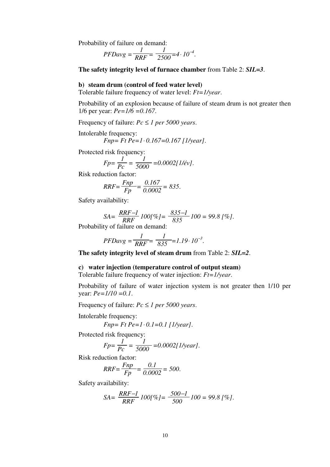Probability of failure on demand:

$$
PFDayg = \frac{1}{RRF} = \frac{1}{2500} = 4 \cdot 10^{-4}.
$$

**The safety integrity level of furnace chamber** from Table 2: *SIL=3*.

#### **b) steam drum (control of feed water level)**

Tolerable failure frequency of water level: *Ft=1/year*.

Probability of an explosion because of failure of steam drum is not greater then 1/6 per year: *Pe=1/6 =0.167*.

Frequency of failure:  $Pc \leq 1$  *per* 5000 *years*.

Intolerable frequency:

$$
Fnp = Ft Pe = 1 \cdot 0.167 = 0.167
$$
 [1/year].

Protected risk frequency:

$$
Fp = \frac{1}{Pc} = \frac{1}{5000} = 0.0002[1/\text{eV}].
$$

Risk reduction factor:

$$
RRF = \frac{Fnp}{Fp} = \frac{0.167}{0.0002} = 835.
$$

Safety availability:

$$
SA = \frac{RRF - 1}{RRF} \cdot 100[\%] = \frac{835 - 1}{835} \cdot 100 = 99.8 \; \text{[\%]}.
$$

Probability of failure on demand:

$$
PFDayg = \frac{1}{RRF} = \frac{1}{835} = 1.19 \cdot 10^{-3}.
$$

**The safety integrity level of steam drum** from Table 2: *SIL=2*.

#### **c) water injection (temperature control of output steam)**

Tolerable failure frequency of water injection: *Ft=1/year*.

Probability of failure of water injection system is not greater then 1/10 per year: *Pe=1/10 =0.1*.

Frequency of failure:  $Pc \leq 1$  *per* 5000 *years*.

Intolerable frequency:

$$
Fnp = Ft Pe = 1 \cdot 0.1 = 0.1 [1/\text{year}].
$$

Protected risk frequency:

$$
Fp = \frac{1}{Pc} = \frac{1}{5000} = 0.0002[1/\text{year}].
$$

Risk reduction factor:

$$
RRF = \frac{Fnp}{Fp} = \frac{0.1}{0.0002} = 500.
$$

Safety availability:

$$
SA = \frac{RRF - I}{RRF} \cdot 100[\%] = \frac{500 - I}{500} \cdot 100 = 99.8 [\%].
$$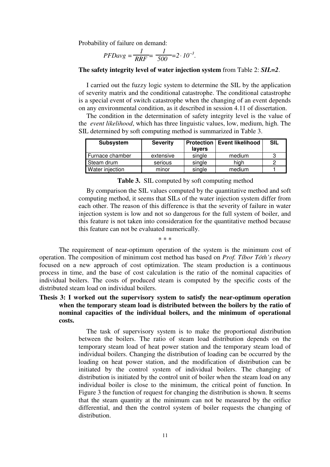Probability of failure on demand:

$$
PFDayg = \frac{1}{RRF} = \frac{1}{500} = 2 \cdot 10^{-3}.
$$

#### **The safety integrity level of water injection system** from Table 2: *SIL=2*.

I carried out the fuzzy logic system to determine the SIL by the application of severity matrix and the conditional catastrophe. The conditional catastrophe is a special event of switch catastrophe when the changing of an event depends on any environmental condition, as it described in session 4.11 of dissertation.

The condition in the determination of safety integrity level is the value of the *event likelihood*, which has three linguistic values, low, medium, high. The SIL determined by soft computing method is summarized in Table 3.

| <b>Subsystem</b> | <b>Severity</b> | lavers | <b>Protection   Event likelihood</b> | <b>SIL</b> |
|------------------|-----------------|--------|--------------------------------------|------------|
| Furnace chamber  | extensive       | single | medium                               |            |
| Steam drum       | serious         | single | hiah                                 |            |
| Water injection  | minor           | single | medium                               |            |

|  |  |  | <b>Table 3.</b> SIL computed by soft computing method |
|--|--|--|-------------------------------------------------------|
|--|--|--|-------------------------------------------------------|

By comparison the SIL values computed by the quantitative method and soft computing method, it seems that SILs of the water injection system differ from each other. The reason of this difference is that the severity of failure in water injection system is low and not so dangerous for the full system of boiler, and this feature is not taken into consideration for the quantitative method because this feature can not be evaluated numerically.

∗ ∗ ∗

The requirement of near-optimum operation of the system is the minimum cost of operation. The composition of minimum cost method has based on *Prof. Tíbor Tóth's theory* focused on a new approach of cost optimization. The steam production is a continuous process in time, and the base of cost calculation is the ratio of the nominal capacities of individual boilers. The costs of produced steam is computed by the specific costs of the distributed steam load on individual boilers.

### **Thesis 3: I worked out the supervisory system to satisfy the near-optimum operation when the temporary steam load is distributed between the boilers by the ratio of nominal capacities of the individual boilers, and the minimum of operational costs.**

The task of supervisory system is to make the proportional distribution between the boilers. The ratio of steam load distribution depends on the temporary steam load of heat power station and the temporary steam load of individual boilers. Changing the distribution of loading can be occurred by the loading on heat power station, and the modification of distribution can be initiated by the control system of individual boilers. The changing of distribution is initiated by the control unit of boiler when the steam load on any individual boiler is close to the minimum, the critical point of function. In Figure 3 the function of request for changing the distribution is shown. It seems that the steam quantity at the minimum can not be measured by the orifice differential, and then the control system of boiler requests the changing of distribution.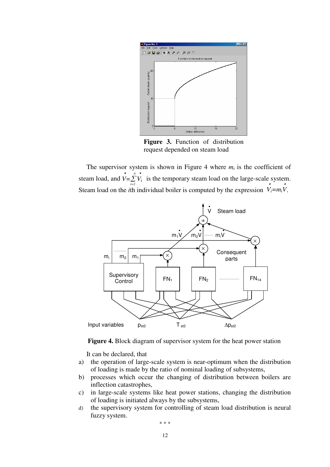

**Figure 3.** Function of distribution request depended on steam load

The supervisor system is shown in Figure 4 where  $m_i$  is the coefficient of steam load, and  $V = \sum_{i=1}^{n} V_i$  is the temporary steam load on the large-scale system. Steam load on the *i*th individual boiler is computed by the expression  $V_i = m_i V$ .



**Figure 4.** Block diagram of supervisor system for the heat power station

It can be declared, that

- a) the operation of large-scale system is near-optimum when the distribution of loading is made by the ratio of nominal loading of subsystems,
- b) processes which occur the changing of distribution between boilers are inflection catastrophes,
- c) in large-scale systems like heat power stations, changing the distribution of loading is initiated always by the subsystems,
- d) the supervisory system for controlling of steam load distribution is neural fuzzy system.

∗ ∗ ∗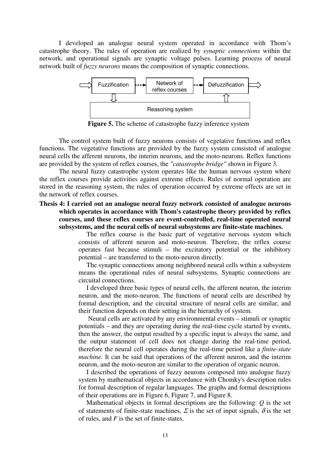I developed an analogue neural system operated in accordance with Thom's catastrophe theory. The rules of operation are realized by *synaptic connections* within the network, and operational signals are synaptic voltage pulses. Learning process of neural network built of *fuzzy neurons* means the composition of synaptic connections.



**Figure 5.** The scheme of catastrophe fuzzy inference system

The control system built of fuzzy neurons consists of vegetative functions and reflex functions. The vegetative functions are provided by the fuzzy system consisted of analogue neural cells the afferent neurons, the interim neurons, and the moto-neurons. Reflex functions are provided by the system of reflex courses, the *"catastrophe bridge"* shown in Figure 3*.*

The neural fuzzy catastrophe system operates like the human nervous system where the reflex courses provide activities against extreme effects. Rules of normal operation are stored in the reasoning system, the rules of operation occurred by extreme effects are set in the network of reflex courses.

#### **Thesis 4: I carried out an analogue neural fuzzy network consisted of analogue neurons which operates in accordance with Thom's catastrophe theory provided by reflex courses, and these reflex courses are event-controlled, real-time operated neural subsystems, and the neural cells of neural subsystems are finite-state machines.**

The reflex course is the basic part of vegetative nervous system which consists of afferent neuron and moto-neuron. Therefore, the reflex course operates fast because stimuli – the excitatory potential or the inhibitory potential – are transferred to the moto-neuron directly.

The synaptic connections among neighbored neural cells within a subsystem means the operational rules of neural subsystems. Synaptic connections are circuital connections.

I developed three basic types of neural cells, the afferent neuron, the interim neuron, and the moto-neuron. The functions of neural cells are described by formal description, and the circuital structure of neural cells are similar, and their function depends on their setting in the hierarchy of system.

Neural cells are activated by any environmental events – stimuli or synaptic potentials – and they are operating during the real-time cycle started by events, then the answer, the output resulted by a specific input is always the same, and the output statement of cell does not change during the real-time period, therefore the neural cell operates during the real-time period like a *finite-state machine*. It can be said that operations of the afferent neuron, and the interim neuron, and the moto-neuron are similar to the operation of organic neuron.

I described the operations of fuzzy neurons composed into analogue fuzzy system by mathematical objects in accordance with Chomky's description rules for formal description of regular languages. The graphs and formal descriptions of their operations are in Figure 6, Figure 7, and Figure 8.

Mathematical objects in formal descriptions are the following: *Q* is the set of statements of finite-state machines,  $\Sigma$  is the set of input signals,  $\delta$  is the set of rules, and *F* is the set of finite-states.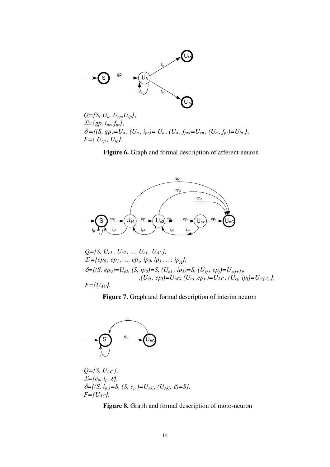

*Q={S, Ua, Uep,Uip}*, <sup>Σ</sup>*={gp, ipr, fpr}*,  $\delta = \{ (S, gp) = U_a, (U_a, i_{pr}) = U_a, (U_a, f_{pr}) = U_{ep}, (U_a, f_{pr}) = U_{ip} \},$ *F={ Uep , Uip}.*

**Figure 6.** Graph and formal description of afferent neuron



$$
Q = \{S, U_{e1}, U_{e2}, ..., U_{ex}, U_{AC}\},
$$
\n
$$
\Sigma = \{ep_0, ep_1, ..., ep_x, ip_0, ip_1, ..., ip_x\},
$$
\n
$$
\delta = \{ (S, ep_0) = U_{e1}, (S, ip_0) = S, (U_{e1}, ip_1) = S, (U_{ej}, ep_j) = U_{e(j+1)},
$$
\n
$$
,(U_{ej}, ep_j) = U_{AC}, (U_{ex}, ep_x) = U_{AC}, (U_{ej}, ip_j) = U_{e(j-1)} \},
$$
\n
$$
F = \{U_{AC}\}.
$$

**Figure 7.** Graph and formal description of interim neuron



*Q={S, UAC }*, <sup>Σ</sup>*={ep, ip,* <sup>ε</sup>*},*  $\delta = \{ (S, i_p) = S, (S, e_p) = U_{AC}, (U_{AC}, \varepsilon) = S \},$  $F = \{U_{AC}\}.$ 

**Figure 8.** Graph and formal description of moto-neuron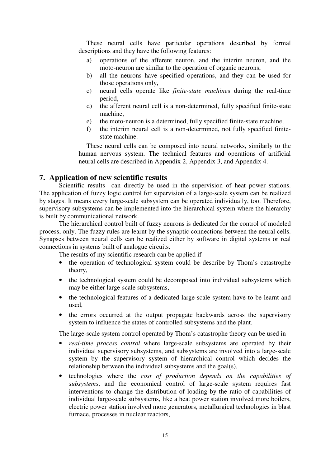These neural cells have particular operations described by formal descriptions and they have the following features:

- a) operations of the afferent neuron, and the interim neuron, and the moto-neuron are similar to the operation of organic neurons,
- b) all the neurons have specified operations, and they can be used for those operations only,
- c) neural cells operate like *finite-state machine*s during the real-time period,
- d) the afferent neural cell is a non-determined, fully specified finite-state machine,
- e) the moto-neuron is a determined, fully specified finite-state machine,
- f) the interim neural cell is a non-determined, not fully specified finitestate machine.

These neural cells can be composed into neural networks, similarly to the human nervous system. The technical features and operations of artificial neural cells are described in Appendix 2, Appendix 3, and Appendix 4.

#### **7. Application of new scientific results**

Scientific results can directly be used in the supervision of heat power stations. The application of fuzzy logic control for supervision of a large-scale system can be realized by stages. It means every large-scale subsystem can be operated individually, too. Therefore, supervisory subsystems can be implemented into the hierarchical system where the hierarchy is built by communicational network.

The hierarchical control built of fuzzy neurons is dedicated for the control of modeled process, only. The fuzzy rules are learnt by the synaptic connections between the neural cells. Synapses between neural cells can be realized either by software in digital systems or real connections in systems built of analogue circuits.

The results of my scientific research can be applied if

- the operation of technological system could be describe by Thom's catastrophe theory,
- the technological system could be decomposed into individual subsystems which may be either large-scale subsystems,
- the technological features of a dedicated large-scale system have to be learnt and used,
- the errors occurred at the output propagate backwards across the supervisory system to influence the states of controlled subsystems and the plant.

The large-scale system control operated by Thom's catastrophe theory can be used in

- *real-time process control* where large-scale subsystems are operated by their individual supervisory subsystems, and subsystems are involved into a large-scale system by the supervisory system of hierarchical control which decides the relationship between the individual subsystems and the goal(s),
- technologies where the *cost of production depends on the capabilities of subsystems*, and the economical control of large-scale system requires fast interventions to change the distribution of loading by the ratio of capabilities of individual large-scale subsystems, like a heat power station involved more boilers, electric power station involved more generators, metallurgical technologies in blast furnace, processes in nuclear reactors,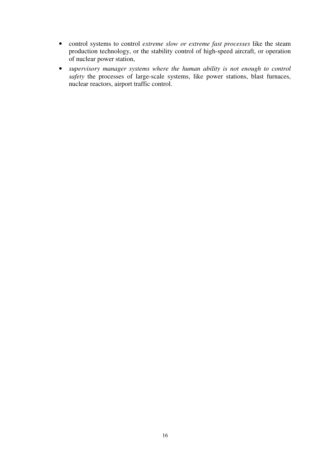- control systems to control *extreme slow or extreme fast processes* like the steam production technology, or the stability control of high-speed aircraft, or operation of nuclear power station,
- *supervisory manager systems where the human ability is not enough to control safety* the processes of large-scale systems, like power stations, blast furnaces, nuclear reactors, airport traffic control.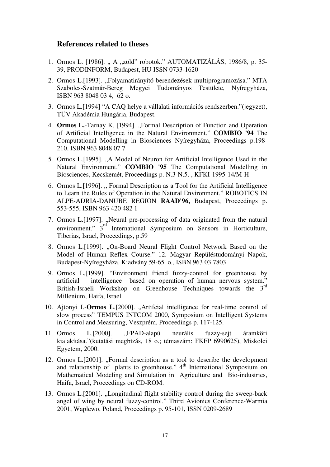### **References related to theses**

- 1. Ormos L. [1986]. "A "zöld" robotok." AUTOMATIZÁLÁS, 1986/8, p. 35-39, PRODINFORM, Budapest, HU ISSN 0733-1620
- 2. Ormos L.[1993]. "Folyamatirányító berendezések multiprogramozása." MTA Szabolcs-Szatmár-Bereg Megyei Tudományos Testülete, Nyíregyháza, ISBN 963 8048 03 4, 62 o.
- 3. Ormos L.[1994] "A CAQ helye a vállalati információs rendszerben."(jegyzet), TÜV Akadémia Hungária, Budapest.
- 4. **Ormos L.**-Tarnay K. [1994]. "Formal Description of Function and Operation of Artificial Intelligence in the Natural Environment." **COMBIO '94** The Computational Modelling in Biosciences Nyíregyháza, Proceedings p.198- 210, ISBN 963 8048 07 7
- 5. Ormos L.[1995]. "A Model of Neuron for Artificial Intelligence Used in the Natural Environment." **COMBIO '95** The Computational Modelling in Biosciences, Kecskemét, Proceedings p. N.3-N.5. , KFKI-1995-14/M-H
- 6. Ormos L.[1996]. " Formal Description as a Tool for the Artificial Intelligence to Learn the Rules of Operation in the Natural Environment." ROBOTICS IN ALPE-ADRIA-DANUBE REGION **RAAD'96,** Budapest, Proceedings p. 553-555, ISBN 963 420 482 1
- 7. Ormos L.[1997]. "Neural pre-processing of data originated from the natural environment." 3<sup>rd</sup> International Symposium on Sensors in Horticulture, Tiberias, Israel, Proceedings, p.59
- 8. Ormos L.<sup>[1999]</sup>. "On-Board Neural Flight Control Network Based on the Model of Human Reflex Course." 12. Magyar Repüléstudományi Napok, Budapest-Nyíregyháza, Kiadvány 59-65. o., ISBN 963 03 7803
- 9. Ormos L.[1999]. "Environment friend fuzzy-control for greenhouse by artificial intelligence based on operation of human nervous system." British-Israeli Workshop on Greenhouse Techniques towards the 3<sup>rd</sup> Millenium, Haifa, Israel
- 10. Ajtonyi I.-**Ormos L**.[2000]. "Artifcial intelligence for real-time control of slow process" TEMPUS INTCOM 2000, Symposium on Intelligent Systems in Control and Measuring, Veszprém, Proceedings p. 117-125.
- 11. Ormos L.[2000]. "FPAD-alapú neurális fuzzy-sejt áramköri kialakítása."(kutatási megbízás, 18 o.; témaszám: FKFP 6990625), Miskolci Egyetem, 2000.
- 12. Ormos L.[2001]. "Formal description as a tool to describe the development and relationship of plants to greenhouse." 4<sup>th</sup> International Symposium on Mathematical Modeling and Simulation in Agriculture and Bio-industries, Haifa, Israel, Proceedings on CD-ROM.
- 13. Ormos L.[2001]. "Longitudinal flight stability control during the sweep-back angel of wing by neural fuzzy-control." Third Avionics Conference-Warmia 2001, Waplewo, Poland, Proceedings p. 95-101, ISSN 0209-2689